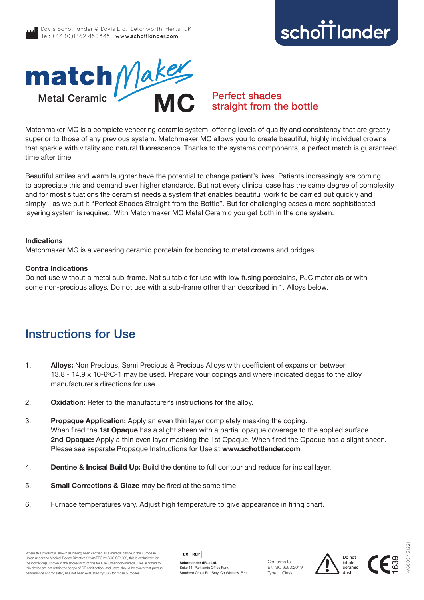# schottlander **improving dentistry together**



### Perfect shades straight from the bottle

Matchmaker MC is a complete veneering ceramic system, offering levels of quality and consistency that are greatly superior to those of any previous system. Matchmaker MC allows you to create beautiful, highly individual crowns that sparkle with vitality and natural fluorescence. Thanks to the systems components, a perfect match is guaranteed time after time.

Beautiful smiles and warm laughter have the potential to change patient's lives. Patients increasingly are coming to appreciate this and demand ever higher standards. But not every clinical case has the same degree of complexity and for most situations the ceramist needs a system that enables beautiful work to be carried out quickly and simply - as we put it "Perfect Shades Straight from the Bottle". But for challenging cases a more sophisticated layering system is required. With Matchmaker MC Metal Ceramic you get both in the one system.

#### **Indications**

Matchmaker MC is a veneering ceramic porcelain for bonding to metal crowns and bridges.

#### **Contra Indications**

Do not use without a metal sub-frame. Not suitable for use with low fusing porcelains, PJC materials or with some non-precious alloys. Do not use with a sub-frame other than described in 1. Alloys below.

## Instructions for Use

- 1. **Alloys:** Non Precious, Semi Precious & Precious Alloys with coefficient of expansion between 13.8 - 14.9 x 10-6°C-1 may be used. Prepare your copings and where indicated degas to the alloy manufacturer's directions for use.
- 2. **Oxidation:** Refer to the manufacturer's instructions for the alloy.
- 3. **Propaque Application:** Apply an even thin layer completely masking the coping. When fired the **1st Opaque** has a slight sheen with a partial opaque coverage to the applied surface. **2nd Opaque:** Apply a thin even layer masking the 1st Opaque. When fired the Opaque has a slight sheen. Please see separate Propaque Instructions for Use at **www.schottlander.com**
- 4. **Dentine & Incisal Build Up:** Build the dentine to full contour and reduce for incisal layer.
- 5. **Small Corrections & Glaze** may be fired at the same time.
- 6. Furnace temperatures vary. Adjust high temperature to give appearance in firing chart.



**Schottlander (IRL) Ltd.** Suite 11, Parklands Office Park, Southern Cross Rd, Bray, Co Wicklow, Eire.